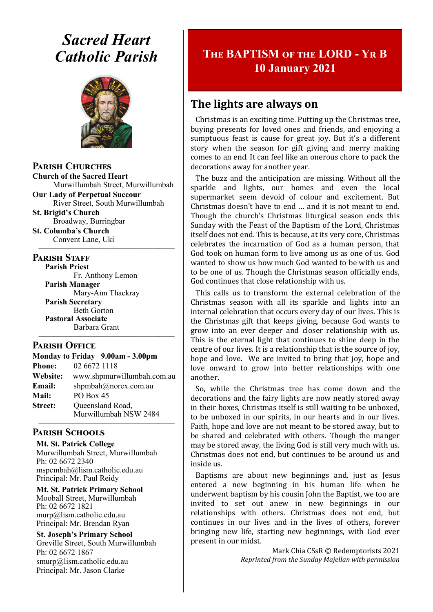# *Sacred Heart Catholic Parish*



**Parish Churches**

**Church of the Sacred Heart** Murwillumbah Street, Murwillumbah

**Our Lady of Perpetual Succour** River Street, South Murwillumbah **St. Brigid's Church**

Broadway, Burringbar **St. Columba's Church**

Convent Lane, Uki —————————————————

#### **PARISH STAFF**

**Parish Priest** Fr. Anthony Lemon

**Parish Manager** Mary-Ann Thackray **Parish Secretary** Beth Gorton **Pastoral Associate** Barbara Grant

#### **Parish Office**

**Monday to Friday 9.00am - 3.00pm Phone:** 02 6672 1118 **Website:** www.shpmurwillumbah.com.au **Email:** shpmbah@norex.com.au **Mail:** PO Box 45 **Street:** Oueensland Road, Murwillumbah NSW 2484 —————————————————

—————————————————

#### **Parish Schools**

**Mt. St. Patrick College** Murwillumbah Street, Murwillumbah Ph: 02 6672 2340 mspcmbah@lism.catholic.edu.au Principal: Mr. Paul Reidy

**Mt. St. Patrick Primary School** Mooball Street, Murwillumbah Ph: 02 6672 1821 murp@lism.catholic.edu.au Principal: Mr. Brendan Ryan

**St. Joseph's Primary School** Greville Street, South Murwillumbah Ph: 02 6672 1867 smurp@lism.catholic.edu.au Principal: Mr. Jason Clarke

## **The BAPTISM of the LORD - Yr B 10 January 2021**

## **The lights are always on**

Christmas is an exciting time. Putting up the Christmas tree, buying presents for loved ones and friends, and enjoying a sumptuous feast is cause for great joy. But it's a different story when the season for gift giving and merry making comes to an end. It can feel like an onerous chore to pack the decorations away for another year.

The buzz and the anticipation are missing. Without all the sparkle and lights, our homes and even the local supermarket seem devoid of colour and excitement. But Christmas doesn't have to end … and it is not meant to end. Though the church's Christmas liturgical season ends this Sunday with the Feast of the Baptism of the Lord, Christmas itself does not end. This is because, at its very core, Christmas celebrates the incarnation of God as a human person, that God took on human form to live among us as one of us. God wanted to show us how much God wanted to be with us and to be one of us. Though the Christmas season officially ends, God continues that close relationship with us.

This calls us to transform the external celebration of the Christmas season with all its sparkle and lights into an internal celebration that occurs every day of our lives. This is the Christmas gift that keeps giving, because God wants to grow into an ever deeper and closer relationship with us. This is the eternal light that continues to shine deep in the centre of our lives. It is a relationship that is the source of joy, hope and love. We are invited to bring that joy, hope and love onward to grow into better relationships with one another.

So, while the Christmas tree has come down and the decorations and the fairy lights are now neatly stored away in their boxes, Christmas itself is still waiting to be unboxed, to be unboxed in our spirits, in our hearts and in our lives. Faith, hope and love are not meant to be stored away, but to be shared and celebrated with others. Though the manger may be stored away, the living God is still very much with us. Christmas does not end, but continues to be around us and inside us.

Baptisms are about new beginnings and, just as Jesus entered a new beginning in his human life when he underwent baptism by his cousin John the Baptist, we too are invited to set out anew in new beginnings in our relationships with others. Christmas does not end, but continues in our lives and in the lives of others, forever bringing new life, starting new beginnings, with God ever present in our midst.

> Mark Chia CSsR © Redemptorists 2021 *Reprinted from the Sunday Majellan with permission*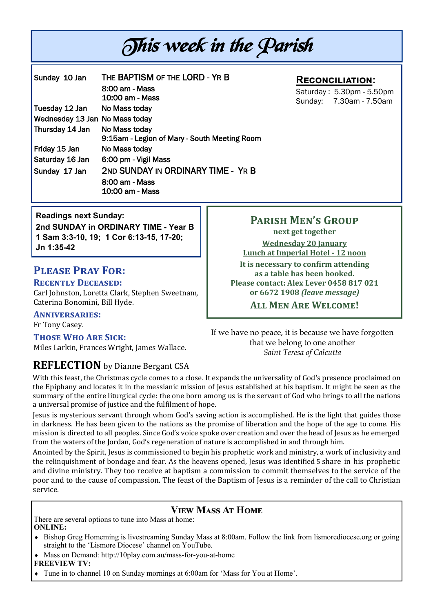# This week in the Parish

| Sunday 10 Jan                  | THE BAPTISM OF THE LORD - YR B<br>8:00 am - Mass<br>10:00 am - Mass | <b>RECONCILIATION:</b><br>Saturday: 5.30pm - 5.50pm<br>Sunday: 7.30am - 7.50am |
|--------------------------------|---------------------------------------------------------------------|--------------------------------------------------------------------------------|
| Tuesday 12 Jan                 | No Mass today                                                       |                                                                                |
| Wednesday 13 Jan No Mass today |                                                                     |                                                                                |
| Thursday 14 Jan                | No Mass today                                                       |                                                                                |
|                                | 9:15am - Legion of Mary - South Meeting Room                        |                                                                                |
| Friday 15 Jan                  | No Mass today                                                       |                                                                                |
| Saturday 16 Jan                | 6:00 pm - Vigil Mass                                                |                                                                                |
| Sunday 17 Jan                  | 2ND SUNDAY IN ORDINARY TIME - YR B                                  |                                                                                |
|                                | 8:00 am - Mass<br>10:00 am - Mass                                   |                                                                                |
|                                |                                                                     |                                                                                |

**Readings next Sunday: 2nd SUNDAY in ORDINARY TIME - Year B 1 Sam 3:3-10, 19; 1 Cor 6:13-15, 17-20; Jn 1:35-42**

## **Please Pray For:**

#### **Recently Deceased:**

Carl Johnston, Loretta Clark, Stephen Sweetnam, Caterina Bonomini, Bill Hyde.

#### **Anniversaries:**

Fr Tony Casey.

#### **Those Who Are Sick:**

Miles Larkin, Frances Wright, James Wallace.

## **REFLECTION** by Dianne Bergant CSA

With this feast, the Christmas cycle comes to a close. It expands the universality of God's presence proclaimed on the Epiphany and locates it in the messianic mission of Jesus established at his baptism. It might be seen as the summary of the entire liturgical cycle: the one born among us is the servant of God who brings to all the nations a universal promise of justice and the fulfilment of hope.

Jesus is mysterious servant through whom God's saving action is accomplished. He is the light that guides those in darkness. He has been given to the nations as the promise of liberation and the hope of the age to come. His mission is directed to all peoples. Since God's voice spoke over creation and over the head of Jesus as he emerged from the waters of the Jordan, God's regeneration of nature is accomplished in and through him.

Anointed by the Spirit, Jesus is commissioned to begin his prophetic work and ministry, a work of inclusivity and the relinquishment of bondage and fear. As the heavens opened, Jesus was identified 5 share in his prophetic and divine ministry. They too receive at baptism a commission to commit themselves to the service of the poor and to the cause of compassion. The feast of the Baptism of Jesus is a reminder of the call to Christian service.

## **View Mass At Home**

There are several options to tune into Mass at home: **ONLINE:** 

- Bishop Greg Homeming is livestreaming Sunday Mass at 8:00am. Follow the link from lismorediocese.org or going straight to the 'Lismore Diocese' channel on YouTube.
- Mass on Demand: http://10play.com.au/mass-for-you-at-home

#### **FREEVIEW TV:**

Tune in to channel 10 on Sunday mornings at 6:00am for 'Mass for You at Home'.

**Parish Men's Group next get together**

**Wednesday 20 January Lunch at Imperial Hotel - 12 noon**

**It is necessary to confirm attending as a table has been booked. Please contact: Alex Lever 0458 817 021 or 6672 1908** *(leave message)* 

**All Men Are Welcome!**

If we have no peace, it is because we have forgotten that we belong to one another *Saint Teresa of Calcutta*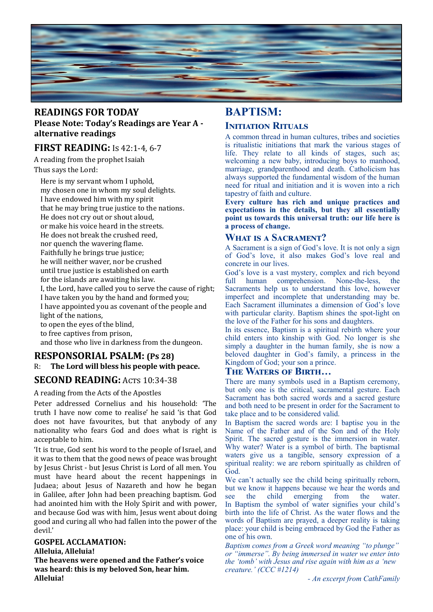

#### **READINGS FOR TODAY Please Note: Today's Readings are Year A alternative readings**

#### **FIRST READING:** Is 42:1-4, 6-7

A reading from the prophet Isaiah

Thus says the Lord:

Here is my servant whom I uphold, my chosen one in whom my soul delights. I have endowed him with my spirit that he may bring true justice to the nations. He does not cry out or shout aloud, or make his voice heard in the streets. He does not break the crushed reed, nor quench the wavering flame. Faithfully he brings true justice; he will neither waver, nor be crushed until true justice is established on earth for the islands are awaiting his law. I, the Lord, have called you to serve the cause of right; I have taken you by the hand and formed you; I have appointed you as covenant of the people and light of the nations, to open the eyes of the blind, to free captives from prison, and those who live in darkness from the dungeon.

#### **RESPONSORIAL PSALM: (Ps 28)**

#### R: **The Lord will bless his people with peace.**

#### **SECOND READING: ACTS 10:34-38**

#### A reading from the Acts of the Apostles

Peter addressed Cornelius and his household: 'The truth I have now come to realise' he said 'is that God does not have favourites, but that anybody of any nationality who fears God and does what is right is acceptable to him.

'It is true, God sent his word to the people of Israel, and it was to them that the good news of peace was brought by Jesus Christ - but Jesus Christ is Lord of all men. You must have heard about the recent happenings in Judaea; about Jesus of Nazareth and how he began in Galilee, after John had been preaching baptism. God had anointed him with the Holy Spirit and with power, and because God was with him, Jesus went about doing good and curing all who had fallen into the power of the devil.'

#### **GOSPEL ACCLAMATION:**

**Alleluia, Alleluia!**

**The heavens were opened and the Father's voice was heard: this is my beloved Son, hear him. Alleluia!** 

## **BAPTISM:**

#### **INITIATION RITUALS**

A common thread in human cultures, tribes and societies is ritualistic initiations that mark the various stages of life. They relate to all kinds of stages, such as; welcoming a new baby, introducing boys to manhood, marriage, grandparenthood and death. Catholicism has always supported the fundamental wisdom of the human need for ritual and initiation and it is woven into a rich tapestry of faith and culture.

**Every culture has rich and unique practices and expectations in the details, but they all essentially point us towards this universal truth: our life here is a process of change.**

#### **What is a Sacrament?**

A Sacrament is a sign of God's love. It is not only a sign of God's love, it also makes God's love real and concrete in our lives.

God's love is a vast mystery, complex and rich beyond full human comprehension. None-the-less, the Sacraments help us to understand this love, however imperfect and incomplete that understanding may be. Each Sacrament illuminates a dimension of God's love with particular clarity. Baptism shines the spot-light on the love of the Father for his sons and daughters.

In its essence, Baptism is a spiritual rebirth where your child enters into kinship with God. No longer is she simply a daughter in the human family, she is now a beloved daughter in God's family, a princess in the Kingdom of God; your son a prince.

#### **The Waters of Birth…**

There are many symbols used in a Baptism ceremony, but only one is the critical, sacramental gesture. Each Sacrament has both sacred words and a sacred gesture and both need to be present in order for the Sacrament to take place and to be considered valid.

In Baptism the sacred words are: I baptise you in the Name of the Father and of the Son and of the Holy Spirit. The sacred gesture is the immersion in water. Why water? Water is a symbol of birth. The baptismal waters give us a tangible, sensory expression of a spiritual reality: we are reborn spiritually as children of God.

We can't actually see the child being spiritually reborn, but we know it happens because we hear the words and<br>see the child emerging from the water. see the child emerging from the water. In Baptism the symbol of water signifies your child's birth into the life of Christ. As the water flows and the words of Baptism are prayed, a deeper reality is taking place: your child is being embraced by God the Father as one of his own.

*Baptism comes from a Greek word meaning "to plunge" or "immerse". By being immersed in water we enter into the 'tomb' with Jesus and rise again with him as a 'new creature.' (CCC #1214)*